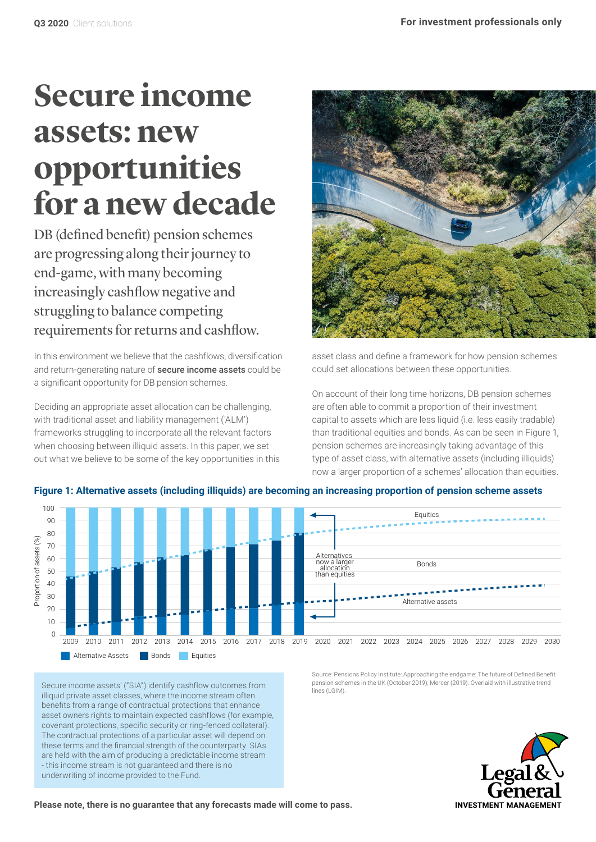# **Secure income assets: new opportunities for a new decade**

DB (defined benefit) pension schemes are progressing along their journey to end-game, with many becoming increasingly cashflow negative and struggling to balance competing requirements for returns and cashflow.

In this environment we believe that the cashflows, diversification and return-generating nature of **secure income assets** could be a significant opportunity for DB pension schemes.

Deciding an appropriate asset allocation can be challenging, with traditional asset and liability management ('ALM') frameworks struggling to incorporate all the relevant factors when choosing between illiquid assets. In this paper, we set out what we believe to be some of the key opportunities in this



asset class and define a framework for how pension schemes could set allocations between these opportunities.

On account of their long time horizons, DB pension schemes are often able to commit a proportion of their investment capital to assets which are less liquid (i.e. less easily tradable) than traditional equities and bonds. As can be seen in Figure 1, pension schemes are increasingly taking advantage of this type of asset class, with alternative assets (including illiquids) now a larger proportion of a schemes' allocation than equities.



**Figure 1: Alternative assets (including illiquids) are becoming an increasing proportion of pension scheme assets**

Secure income assets' ("SIA") identify cashflow outcomes from illiquid private asset classes, where the income stream often benefits from a range of contractual protections that enhance asset owners rights to maintain expected cashflows (for example, covenant protections, specific security or ring-fenced collateral). The contractual protections of a particular asset will depend on these terms and the financial strength of the counterparty. SIAs are held with the aim of producing a predictable income stream - this income stream is not guaranteed and there is no underwriting of income provided to the Fund.

Source: Pensions Policy Institute: Approaching the endgame: The future of Defined Benefit pension schemes in the UK (October 2019), Mercer (2019). Overlaid with illustrative trend ines (LGIM)

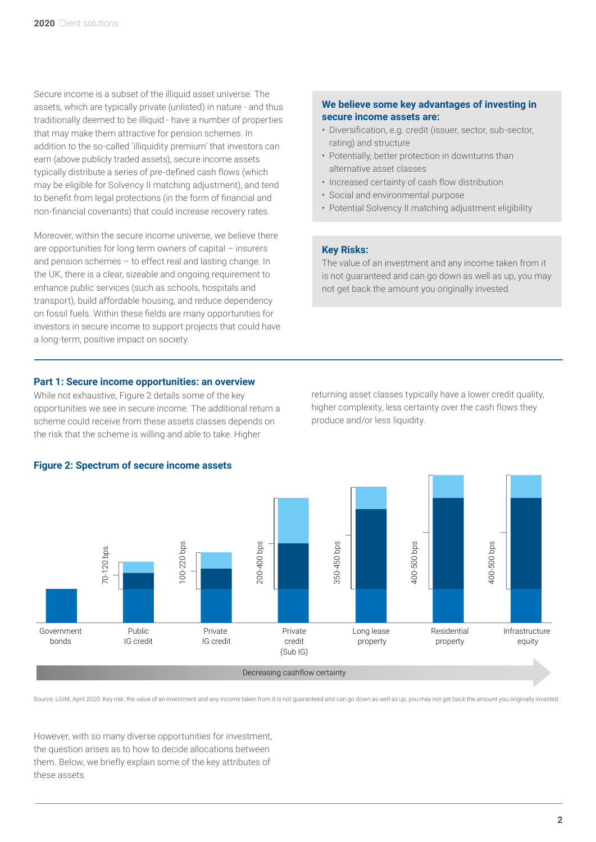Secure income is a subset of the illiquid asset universe. The assets, which are typically private (unlisted) in nature - and thus traditionally deemed to be illiquid - have a number of properties that may make them attractive for pension schemes. In addition to the so-called 'illiquidity premium' that investors can earn (above publicly traded assets), secure income assets typically distribute a series of pre-defined cash flows (which may be eligible for Solvency II matching adjustment), and tend to benefit from legal protections (in the form of financial and non-financial covenants) that could increase recovery rates.

Moreover, within the secure income universe, we believe there are opportunities for long term owners of capital – insurers and pension schemes – to effect real and lasting change. In the UK, there is a clear, sizeable and ongoing requirement to enhance public services (such as schools, hospitals and transport), build affordable housing, and reduce dependency on fossil fuels. Within these fields are many opportunities for investors in secure income to support projects that could have a long-term, positive impact on society.

# **We believe some key advantages of investing in secure income assets are:**

- Diversification, e.g. credit (issuer, sector, sub-sector, rating) and structure
- Potentially, better protection in downturns than alternative asset classes
- Increased certainty of cash flow distribution
- Social and environmental purpose
- Potential Solvency II matching adjustment eligibility

# **Key Risks:**

The value of an investment and any income taken from it is not guaranteed and can go down as well as up, you may not get back the amount you originally invested.

# **Part 1: Secure income opportunities: an overview**

While not exhaustive, Figure 2 details some of the key opportunities we see in secure income. The additional return a scheme could receive from these assets classes depends on the risk that the scheme is willing and able to take. Higher

returning asset classes typically have a lower credit quality, higher complexity, less certainty over the cash flows they produce and/or less liquidity.



#### **Figure 2: Spectrum of secure income assets**

Source: LGIM, April 2020. Key risk: the value of an investment and any income taken from it is not guaranteed and can go down as well as up, you may not get back the amount you originally invested.

However, with so many diverse opportunities for investment, the question arises as to how to decide allocations between them. Below, we briefly explain some of the key attributes of these assets.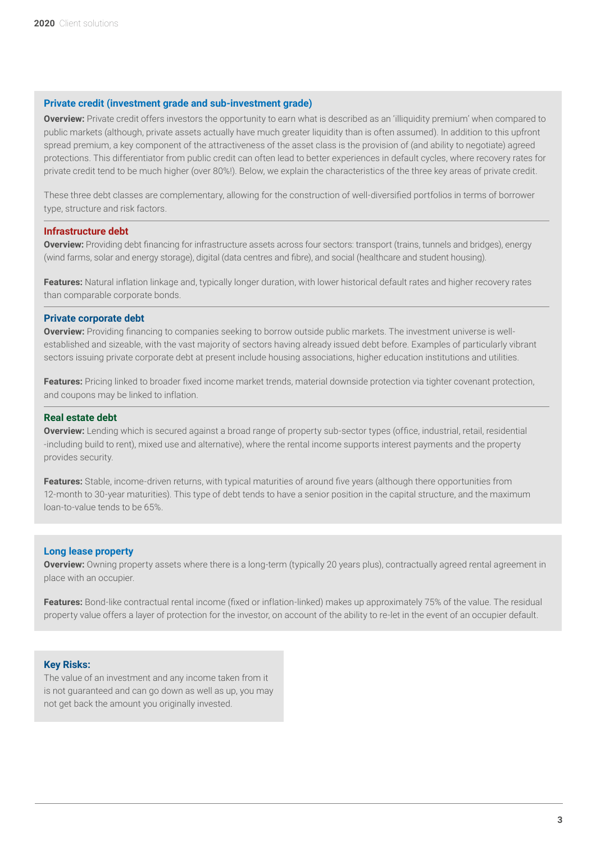### **Private credit (investment grade and sub-investment grade)**

**Overview:** Private credit offers investors the opportunity to earn what is described as an 'illiquidity premium' when compared to public markets (although, private assets actually have much greater liquidity than is often assumed). In addition to this upfront spread premium, a key component of the attractiveness of the asset class is the provision of (and ability to negotiate) agreed protections. This differentiator from public credit can often lead to better experiences in default cycles, where recovery rates for private credit tend to be much higher (over 80%!). Below, we explain the characteristics of the three key areas of private credit.

These three debt classes are complementary, allowing for the construction of well-diversified portfolios in terms of borrower type, structure and risk factors.

# **Infrastructure debt**

**Overview:** Providing debt financing for infrastructure assets across four sectors: transport (trains, tunnels and bridges), energy (wind farms, solar and energy storage), digital (data centres and fibre), and social (healthcare and student housing).

**Features:** Natural inflation linkage and, typically longer duration, with lower historical default rates and higher recovery rates than comparable corporate bonds.

# **Private corporate debt**

**Overview:** Providing financing to companies seeking to borrow outside public markets. The investment universe is wellestablished and sizeable, with the vast majority of sectors having already issued debt before. Examples of particularly vibrant sectors issuing private corporate debt at present include housing associations, higher education institutions and utilities.

**Features:** Pricing linked to broader fixed income market trends, material downside protection via tighter covenant protection, and coupons may be linked to inflation.

#### **Real estate debt**

**Overview:** Lending which is secured against a broad range of property sub-sector types (office, industrial, retail, residential -including build to rent), mixed use and alternative), where the rental income supports interest payments and the property provides security.

**Features:** Stable, income-driven returns, with typical maturities of around five years (although there opportunities from 12-month to 30-year maturities). This type of debt tends to have a senior position in the capital structure, and the maximum loan-to-value tends to be 65%.

#### **Long lease property**

**Overview:** Owning property assets where there is a long-term (typically 20 years plus), contractually agreed rental agreement in place with an occupier.

**Features:** Bond-like contractual rental income (fixed or inflation-linked) makes up approximately 75% of the value. The residual property value offers a layer of protection for the investor, on account of the ability to re-let in the event of an occupier default.

#### **Key Risks:**

The value of an investment and any income taken from it is not guaranteed and can go down as well as up, you may not get back the amount you originally invested.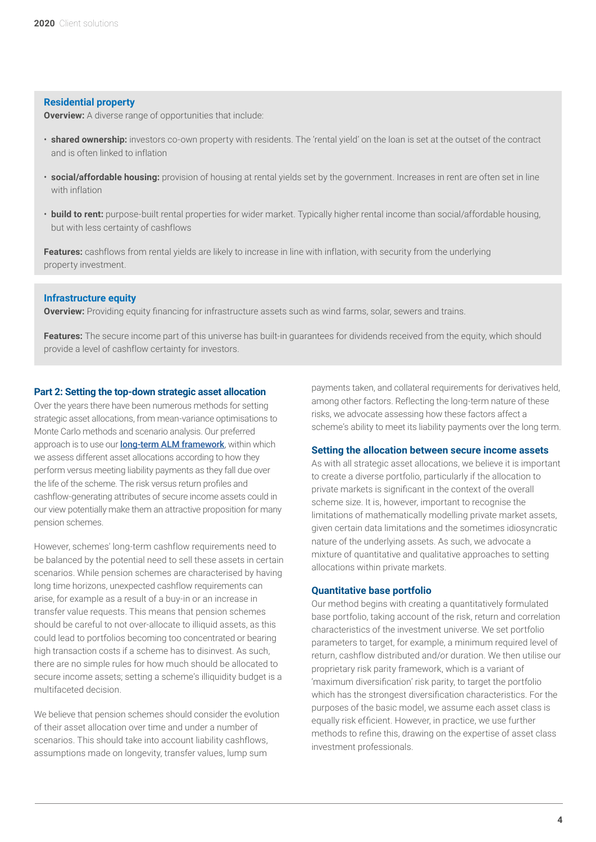#### **Residential property**

**Overview:** A diverse range of opportunities that include:

- **shared ownership:** investors co-own property with residents. The 'rental yield' on the loan is set at the outset of the contract and is often linked to inflation
- **social/affordable housing:** provision of housing at rental yields set by the government. Increases in rent are often set in line with inflation
- **build to rent:** purpose-built rental properties for wider market. Typically higher rental income than social/affordable housing, but with less certainty of cashflows

**Features:** cashflows from rental yields are likely to increase in line with inflation, with security from the underlying property investment.

#### **Infrastructure equity**

**Overview:** Providing equity financing for infrastructure assets such as wind farms, solar, sewers and trains.

**Features:** The secure income part of this universe has built-in quarantees for dividends received from the equity, which should provide a level of cashflow certainty for investors.

#### **Part 2: Setting the top-down strategic asset allocation**

Over the years there have been numerous methods for setting strategic asset allocations, from mean-variance optimisations to Monte Carlo methods and scenario analysis. Our preferred approach is to use our **[long-term ALM framework](https://www.lgim.com/it/en/insights/our-thinking/client-solutions/covenant-risk-modelling-managing-and-mitigating-a-key-risk.html)**, within which we assess different asset allocations according to how they perform versus meeting liability payments as they fall due over the life of the scheme. The risk versus return profiles and cashflow-generating attributes of secure income assets could in our view potentially make them an attractive proposition for many pension schemes.

However, schemes' long-term cashflow requirements need to be balanced by the potential need to sell these assets in certain scenarios. While pension schemes are characterised by having long time horizons, unexpected cashflow requirements can arise, for example as a result of a buy-in or an increase in transfer value requests. This means that pension schemes should be careful to not over-allocate to illiquid assets, as this could lead to portfolios becoming too concentrated or bearing high transaction costs if a scheme has to disinvest. As such, there are no simple rules for how much should be allocated to secure income assets; setting a scheme's illiquidity budget is a multifaceted decision.

We believe that pension schemes should consider the evolution of their asset allocation over time and under a number of scenarios. This should take into account liability cashflows, assumptions made on longevity, transfer values, lump sum

payments taken, and collateral requirements for derivatives held, among other factors. Reflecting the long-term nature of these risks, we advocate assessing how these factors affect a scheme's ability to meet its liability payments over the long term.

#### **Setting the allocation between secure income assets**

As with all strategic asset allocations, we believe it is important to create a diverse portfolio, particularly if the allocation to private markets is significant in the context of the overall scheme size. It is, however, important to recognise the limitations of mathematically modelling private market assets, given certain data limitations and the sometimes idiosyncratic nature of the underlying assets. As such, we advocate a mixture of quantitative and qualitative approaches to setting allocations within private markets.

#### **Quantitative base portfolio**

Our method begins with creating a quantitatively formulated base portfolio, taking account of the risk, return and correlation characteristics of the investment universe. We set portfolio parameters to target, for example, a minimum required level of return, cashflow distributed and/or duration. We then utilise our proprietary risk parity framework, which is a variant of 'maximum diversification' risk parity, to target the portfolio which has the strongest diversification characteristics. For the purposes of the basic model, we assume each asset class is equally risk efficient. However, in practice, we use further methods to refine this, drawing on the expertise of asset class investment professionals.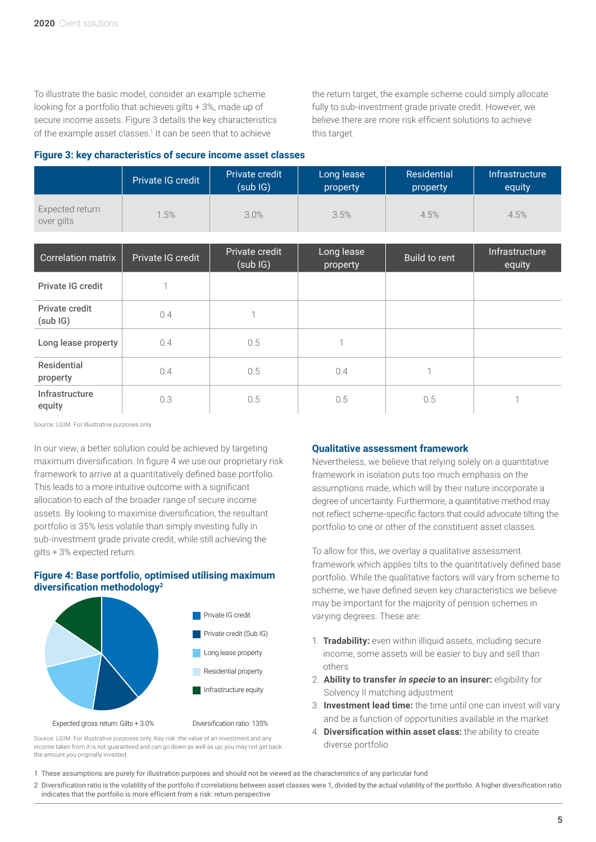To illustrate the basic model, consider an example scheme looking for a portfolio that achieves gilts + 3%, made up of secure income assets. Figure 3 details the key characteristics of the example asset classes.<sup>1</sup> It can be seen that to achieve

the return target, the example scheme could simply allocate fully to sub-investment grade private credit. However, we believe there are more risk efficient solutions to achieve this target.

#### **Figure 3: key characteristics of secure income asset classes**

|                                | Private IG credit | Private credit<br>(subIG) | Long lease<br>property | <b>Residential</b><br>property | Infrastructure<br>equity |
|--------------------------------|-------------------|---------------------------|------------------------|--------------------------------|--------------------------|
| Expected return<br>over gilts  | 1.5%              | 3.0%                      | 3.5%                   | 4.5%                           | 4.5%                     |
| <b>Correlation matrix</b>      | Private IG credit | Private credit<br>(subIG) | Long lease<br>property | Build to rent                  | Infrastructure<br>equity |
| <b>Private IG credit</b>       | ×,                |                           |                        |                                |                          |
| Private credit<br>(subIG)      | 0.4               | 1                         |                        |                                |                          |
| Long lease property            | 0.4               | 0.5                       | 1                      |                                |                          |
| <b>Residential</b><br>property | 0.4               | 0.5                       | 0.4                    | 1                              |                          |
| Infrastructure<br>equity       | 0.3               | 0.5                       | 0.5                    | 0.5                            |                          |

Source: LGIM. For illustrative purposes only.

In our view, a better solution could be achieved by targeting maximum diversification. In figure 4 we use our proprietary risk framework to arrive at a quantitatively defined base portfolio. This leads to a more intuitive outcome with a significant allocation to each of the broader range of secure income assets. By looking to maximise diversification, the resultant portfolio is 35% less volatile than simply investing fully in sub-investment grade private credit, while still achieving the gilts + 3% expected return.

# **Figure 4: Base portfolio, optimised utilising maximum diversification methodology<sup>2</sup>**



Source: LGIM. For illustrative purposes only. Key risk: the value of an investment and any income taken from it is not guaranteed and can go down as well as up; you may not get back the amount you originally invested.

#### **Qualitative assessment framework**

Nevertheless, we believe that relying solely on a quantitative framework in isolation puts too much emphasis on the assumptions made, which will by their nature incorporate a degree of uncertainty. Furthermore, a quantitative method may not reflect scheme-specific factors that could advocate tilting the portfolio to one or other of the constituent asset classes.

To allow for this, we overlay a qualitative assessment framework which applies tilts to the quantitatively defined base portfolio. While the qualitative factors will vary from scheme to scheme, we have defined seven key characteristics we believe may be important for the majority of pension schemes in varying degrees. These are:

- 1. **Tradability:** even within illiquid assets, including secure income, some assets will be easier to buy and sell than others
- 2. **Ability to transfer in specie to an insurer:** eligibility for Solvency II matching adjustment
- 3. **Investment lead time:** the time until one can invest will vary and be a function of opportunities available in the market
- 4. **Diversification within asset class:** the ability to create diverse portfolio
- 1 These assumptions are purely for illustration purposes and should not be viewed as the characteristics of any particular fund

2 Diversification ratio is the volatility of the portfolio if correlations between asset classes were 1, divided by the actual volatility of the portfolio. A higher diversification ratio indicates that the portfolio is more efficient from a risk: return perspective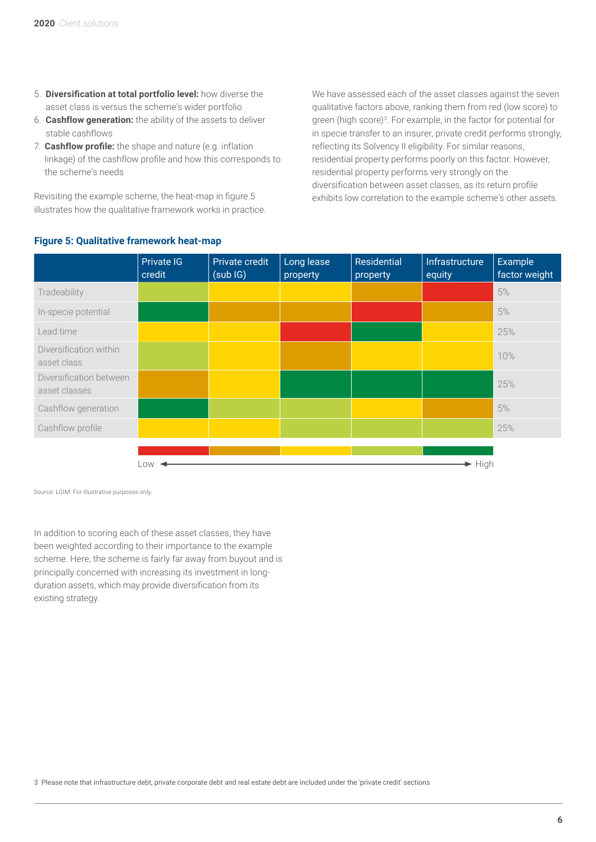- 5. **Diversification at total portfolio level:** how diverse the asset class is versus the scheme's wider portfolio
- 6. **Cashflow generation:** the ability of the assets to deliver stable cashflows
- 7. **Cashflow profile:** the shape and nature (e.g. inflation linkage) of the cashflow profile and how this corresponds to the scheme's needs

Revisiting the example scheme, the heat-map in figure 5 illustrates how the qualitative framework works in practice. We have assessed each of the asset classes against the seven qualitative factors above, ranking them from red (low score) to green (high score)3. For example, in the factor for potential for in specie transfer to an insurer, private credit performs strongly, reflecting its Solvency II eligibility. For similar reasons, residential property performs poorly on this factor. However, residential property performs very strongly on the diversification between asset classes, as its return profile exhibits low correlation to the example scheme's other assets.

|                                          | Private IG<br>credit | Private credit<br>(subIG) | Long lease<br>property | Residential<br>property | Infrastructure<br>equity   | Example<br>factor weight |
|------------------------------------------|----------------------|---------------------------|------------------------|-------------------------|----------------------------|--------------------------|
| Tradeability                             |                      |                           |                        |                         |                            | 5%                       |
| In-specie potential                      |                      |                           |                        |                         |                            | 5%                       |
| Lead time                                |                      |                           |                        |                         |                            | 25%                      |
| Diversification within<br>asset class    |                      |                           |                        |                         |                            | 10%                      |
| Diversification between<br>asset classes |                      |                           |                        |                         |                            | 25%                      |
| Cashflow generation                      |                      |                           |                        |                         |                            | 5%                       |
| Cashflow profile                         |                      |                           |                        |                         |                            | 25%                      |
|                                          | _OW                  |                           |                        |                         | $\blacktriangleright$ High |                          |

# **Figure 5: Qualitative framework heat-map**

Source: LGIM. For illustrative purposes only.

In addition to scoring each of these asset classes, they have been weighted according to their importance to the example scheme. Here, the scheme is fairly far away from buyout and is principally concerned with increasing its investment in longduration assets, which may provide diversification from its existing strategy.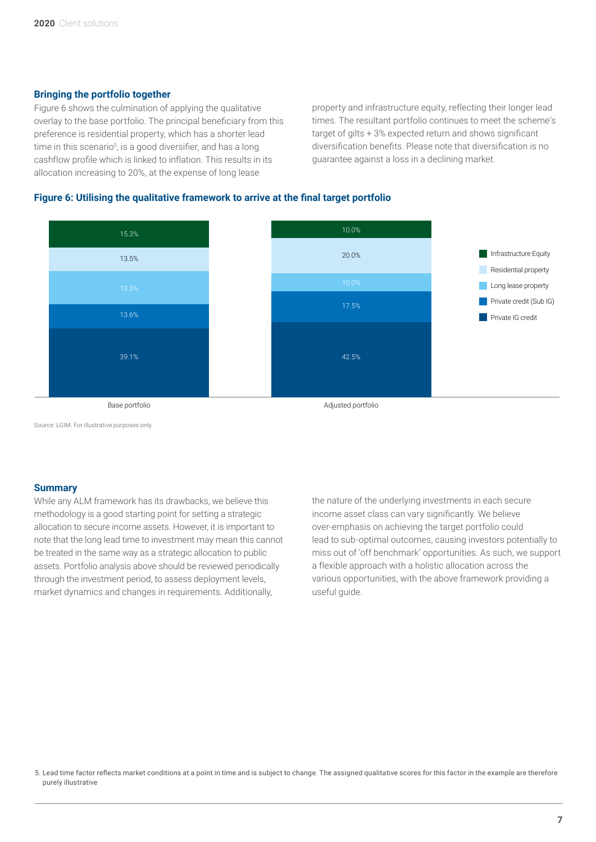# **Bringing the portfolio together**

Figure 6 shows the culmination of applying the qualitative overlay to the base portfolio. The principal beneficiary from this preference is residential property, which has a shorter lead time in this scenario<sup>5</sup>, is a good diversifier, and has a long cashflow profile which is linked to inflation. This results in its allocation increasing to 20%, at the expense of long lease

property and infrastructure equity, reflecting their longer lead times. The resultant portfolio continues to meet the scheme's target of gilts + 3% expected return and shows significant diversification benefits. Please note that diversification is no guarantee against a loss in a declining market.

# **Figure 6: Utilising the qualitative framework to arrive at the final target portfolio**



Source: LGIM. For illustrative purposes only.

#### **Summary**

While any ALM framework has its drawbacks, we believe this methodology is a good starting point for setting a strategic allocation to secure income assets. However, it is important to note that the long lead time to investment may mean this cannot be treated in the same way as a strategic allocation to public assets. Portfolio analysis above should be reviewed periodically through the investment period, to assess deployment levels, market dynamics and changes in requirements. Additionally,

the nature of the underlying investments in each secure income asset class can vary significantly. We believe over-emphasis on achieving the target portfolio could lead to sub-optimal outcomes, causing investors potentially to miss out of 'off benchmark' opportunities. As such, we support a flexible approach with a holistic allocation across the various opportunities, with the above framework providing a useful guide.

5. Lead time factor reflects market conditions at a point in time and is subject to change. The assigned qualitative scores for this factor in the example are therefore purely illustrative